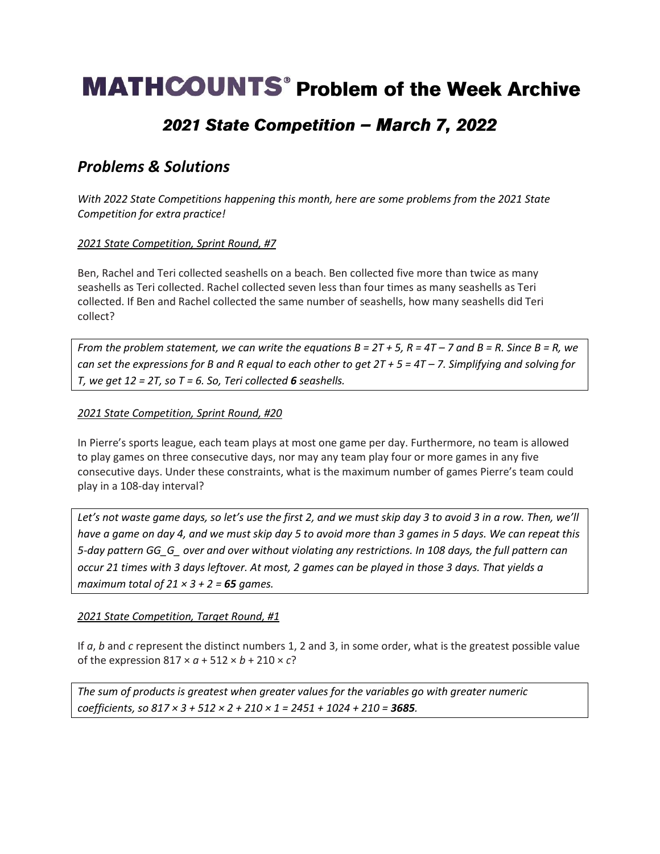# **MATHCOUNTS**<sup>®</sup> Problem of the Week Archive

## 2021 State Competition - March 7, 2022

### *Problems & Solutions*

*With 2022 State Competitions happening this month, here are some problems from the 2021 State Competition for extra practice!* 

### *2021 State Competition, Sprint Round, #7*

Ben, Rachel and Teri collected seashells on a beach. Ben collected five more than twice as many seashells as Teri collected. Rachel collected seven less than four times as many seashells as Teri collected. If Ben and Rachel collected the same number of seashells, how many seashells did Teri collect?

*From the problem statement, we can write the equations*  $B = 2T + 5$ *,*  $R = 4T - 7$  *and*  $B = R$ *. Since*  $B = R$ *, we can set the expressions for B and R equal to each other to get*  $2T + 5 = 4T - 7$ *. Simplifying and solving for T, we get 12 = 2T, so T = 6. So, Teri collected 6 seashells.*

#### *2021 State Competition, Sprint Round, #20*

In Pierre's sports league, each team plays at most one game per day. Furthermore, no team is allowed to play games on three consecutive days, nor may any team play four or more games in any five consecutive days. Under these constraints, what is the maximum number of games Pierre's team could play in a 108-day interval?

*Let's not waste game days, so let's use the first 2, and we must skip day 3 to avoid 3 in a row. Then, we'll have a game on day 4, and we must skip day 5 to avoid more than 3 games in 5 days. We can repeat this 5-day pattern GG\_G\_ over and over without violating any restrictions. In 108 days, the full pattern can occur 21 times with 3 days leftover. At most, 2 games can be played in those 3 days. That yields a maximum total of 21 × 3 + 2 = 65 games.* 

### *2021 State Competition, Target Round, #1*

If *a*, *b* and *c* represent the distinct numbers 1, 2 and 3, in some order, what is the greatest possible value of the expression  $817 \times a + 512 \times b + 210 \times c$ ?

*The sum of products is greatest when greater values for the variables go with greater numeric coefficients, so 817 × 3 + 512 × 2 + 210 × 1 = 2451 + 1024 + 210 = 3685.*